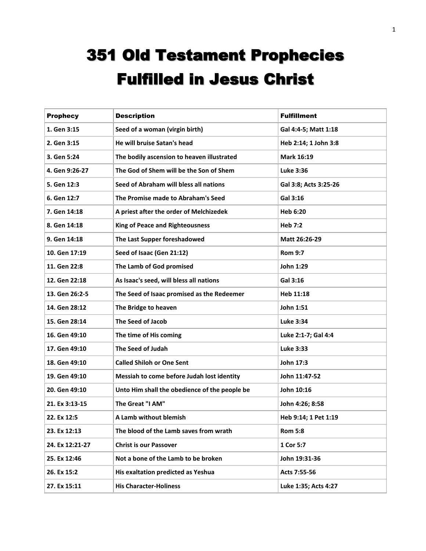## 351 Old Testament Prophecies Fulfilled in Jesus Christ

| <b>Prophecy</b> | <b>Description</b>                            | <b>Fulfillment</b>    |
|-----------------|-----------------------------------------------|-----------------------|
| 1. Gen 3:15     | Seed of a woman (virgin birth)                | Gal 4:4-5; Matt 1:18  |
| 2. Gen 3:15     | He will bruise Satan's head                   | Heb 2:14; 1 John 3:8  |
| 3. Gen 5:24     | The bodily ascension to heaven illustrated    | Mark 16:19            |
| 4. Gen 9:26-27  | The God of Shem will be the Son of Shem       | Luke 3:36             |
| 5. Gen 12:3     | Seed of Abraham will bless all nations        | Gal 3:8; Acts 3:25-26 |
| 6. Gen 12:7     | The Promise made to Abraham's Seed            | Gal 3:16              |
| 7. Gen 14:18    | A priest after the order of Melchizedek       | Heb 6:20              |
| 8. Gen 14:18    | <b>King of Peace and Righteousness</b>        | <b>Heb 7:2</b>        |
| 9. Gen 14:18    | The Last Supper foreshadowed                  | Matt 26:26-29         |
| 10. Gen 17:19   | Seed of Isaac (Gen 21:12)                     | <b>Rom 9:7</b>        |
| 11. Gen 22:8    | The Lamb of God promised                      | John 1:29             |
| 12. Gen 22:18   | As Isaac's seed, will bless all nations       | Gal 3:16              |
| 13. Gen 26:2-5  | The Seed of Isaac promised as the Redeemer    | Heb 11:18             |
| 14. Gen 28:12   | The Bridge to heaven                          | John 1:51             |
| 15. Gen 28:14   | The Seed of Jacob                             | <b>Luke 3:34</b>      |
| 16. Gen 49:10   | The time of His coming                        | Luke 2:1-7; Gal 4:4   |
| 17. Gen 49:10   | The Seed of Judah                             | Luke 3:33             |
| 18. Gen 49:10   | <b>Called Shiloh or One Sent</b>              | John 17:3             |
| 19. Gen 49:10   | Messiah to come before Judah lost identity    | John 11:47-52         |
| 20. Gen 49:10   | Unto Him shall the obedience of the people be | John 10:16            |
| 21. Ex 3:13-15  | The Great "I AM"                              | John 4:26; 8:58       |
| 22. Ex 12:5     | A Lamb without blemish                        | Heb 9:14; 1 Pet 1:19  |
| 23. Ex 12:13    | The blood of the Lamb saves from wrath        | <b>Rom 5:8</b>        |
| 24. Ex 12:21-27 | <b>Christ is our Passover</b>                 | 1 Cor 5:7             |
| 25. Ex 12:46    | Not a bone of the Lamb to be broken           | John 19:31-36         |
| 26. Ex 15:2     | His exaltation predicted as Yeshua            | Acts 7:55-56          |
| 27. Ex 15:11    | <b>His Character-Holiness</b>                 | Luke 1:35; Acts 4:27  |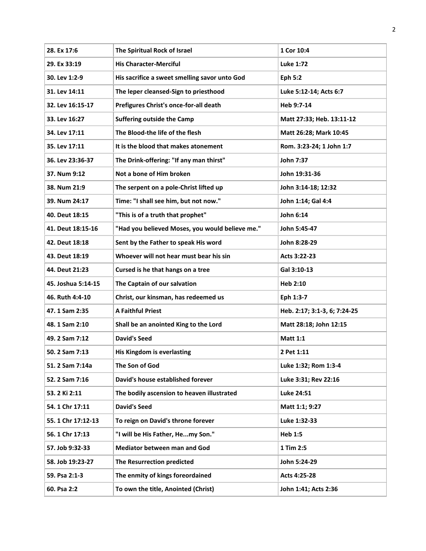| 28. Ex 17:6        | The Spiritual Rock of Israel                    | 1 Cor 10:4                   |
|--------------------|-------------------------------------------------|------------------------------|
| 29. Ex 33:19       | <b>His Character-Merciful</b>                   | <b>Luke 1:72</b>             |
| 30. Lev 1:2-9      | His sacrifice a sweet smelling savor unto God   | <b>Eph 5:2</b>               |
| 31. Lev 14:11      | The leper cleansed-Sign to priesthood           | Luke 5:12-14; Acts 6:7       |
| 32. Lev 16:15-17   | Prefigures Christ's once-for-all death          | Heb 9:7-14                   |
| 33. Lev 16:27      | <b>Suffering outside the Camp</b>               | Matt 27:33; Heb. 13:11-12    |
| 34. Lev 17:11      | The Blood-the life of the flesh                 | Matt 26:28; Mark 10:45       |
| 35. Lev 17:11      | It is the blood that makes atonement            | Rom. 3:23-24; 1 John 1:7     |
| 36. Lev 23:36-37   | The Drink-offering: "If any man thirst"         | John 7:37                    |
| 37. Num 9:12       | Not a bone of Him broken                        | John 19:31-36                |
| 38. Num 21:9       | The serpent on a pole-Christ lifted up          | John 3:14-18; 12:32          |
| 39. Num 24:17      | Time: "I shall see him, but not now."           | John 1:14; Gal 4:4           |
| 40. Deut 18:15     | "This is of a truth that prophet"               | John 6:14                    |
| 41. Deut 18:15-16  | "Had you believed Moses, you would believe me." | John 5:45-47                 |
| 42. Deut 18:18     | Sent by the Father to speak His word            | John 8:28-29                 |
| 43. Deut 18:19     | Whoever will not hear must bear his sin         | Acts 3:22-23                 |
| 44. Deut 21:23     | Cursed is he that hangs on a tree               | Gal 3:10-13                  |
| 45. Joshua 5:14-15 | The Captain of our salvation                    | Heb 2:10                     |
| 46. Ruth 4:4-10    | Christ, our kinsman, has redeemed us            | Eph 1:3-7                    |
| 47.1 Sam 2:35      | <b>A Faithful Priest</b>                        | Heb. 2:17; 3:1-3, 6; 7:24-25 |
| 48.1 Sam 2:10      | Shall be an anointed King to the Lord           | Matt 28:18; John 12:15       |
| 49. 2 Sam 7:12     | <b>David's Seed</b>                             | <b>Matt 1:1</b>              |
| 50. 2 Sam 7:13     | His Kingdom is everlasting                      | 2 Pet 1:11                   |
| 51. 2 Sam 7:14a    | The Son of God                                  | Luke 1:32; Rom 1:3-4         |
| 52. 2 Sam 7:16     | David's house established forever               | Luke 3:31; Rev 22:16         |
| 53. 2 Ki 2:11      | The bodily ascension to heaven illustrated      | Luke 24:51                   |
| 54. 1 Chr 17:11    | <b>David's Seed</b>                             | Matt 1:1; 9:27               |
| 55. 1 Chr 17:12-13 | To reign on David's throne forever              | Luke 1:32-33                 |
| 56. 1 Chr 17:13    | "I will be His Father, Hemy Son."               | Heb 1:5                      |
| 57. Job 9:32-33    | <b>Mediator between man and God</b>             | 1 Tim 2:5                    |
| 58. Job 19:23-27   | The Resurrection predicted                      | John 5:24-29                 |
| 59. Psa 2:1-3      | The enmity of kings foreordained                | Acts 4:25-28                 |
| 60. Psa 2:2        | To own the title, Anointed (Christ)             | John 1:41; Acts 2:36         |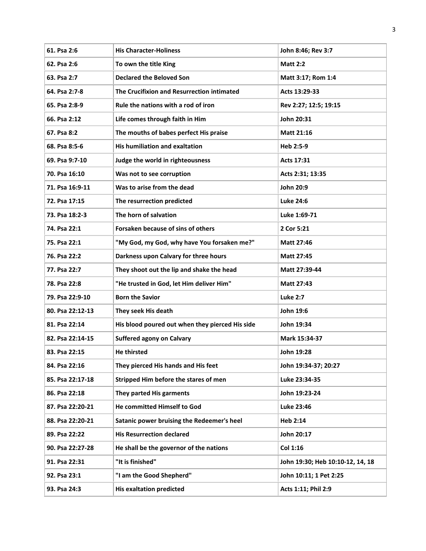| 61. Psa 2:6      | <b>His Character-Holiness</b>                   | John 8:46; Rev 3:7               |
|------------------|-------------------------------------------------|----------------------------------|
| 62. Psa 2:6      | To own the title King                           | <b>Matt 2:2</b>                  |
| 63. Psa 2:7      | <b>Declared the Beloved Son</b>                 | Matt 3:17; Rom 1:4               |
| 64. Psa 2:7-8    | The Crucifixion and Resurrection intimated      | Acts 13:29-33                    |
| 65. Psa 2:8-9    | Rule the nations with a rod of iron             | Rev 2:27; 12:5; 19:15            |
| 66. Psa 2:12     | Life comes through faith in Him                 | John 20:31                       |
| 67. Psa 8:2      | The mouths of babes perfect His praise          | <b>Matt 21:16</b>                |
| 68. Psa 8:5-6    | His humiliation and exaltation                  | Heb 2:5-9                        |
| 69. Psa 9:7-10   | Judge the world in righteousness                | Acts 17:31                       |
| 70. Psa 16:10    | Was not to see corruption                       | Acts 2:31; 13:35                 |
| 71. Psa 16:9-11  | Was to arise from the dead                      | John 20:9                        |
| 72. Psa 17:15    | The resurrection predicted                      | <b>Luke 24:6</b>                 |
| 73. Psa 18:2-3   | The horn of salvation                           | Luke 1:69-71                     |
| 74. Psa 22:1     | Forsaken because of sins of others              | 2 Cor 5:21                       |
| 75. Psa 22:1     | "My God, my God, why have You forsaken me?"     | <b>Matt 27:46</b>                |
| 76. Psa 22:2     | Darkness upon Calvary for three hours           | <b>Matt 27:45</b>                |
| 77. Psa 22:7     | They shoot out the lip and shake the head       | Matt 27:39-44                    |
| 78. Psa 22:8     | "He trusted in God, let Him deliver Him"        | <b>Matt 27:43</b>                |
| 79. Psa 22:9-10  | <b>Born the Savior</b>                          | <b>Luke 2:7</b>                  |
| 80. Psa 22:12-13 | They seek His death                             | John 19:6                        |
| 81. Psa 22:14    | His blood poured out when they pierced His side | John 19:34                       |
| 82. Psa 22:14-15 | <b>Suffered agony on Calvary</b>                | Mark 15:34-37                    |
| 83. Psa 22:15    | <b>He thirsted</b>                              | John 19:28                       |
| 84. Psa 22:16    | They pierced His hands and His feet             | John 19:34-37; 20:27             |
| 85. Psa 22:17-18 | Stripped Him before the stares of men           | Luke 23:34-35                    |
| 86. Psa 22:18    | They parted His garments                        | John 19:23-24                    |
| 87. Psa 22:20-21 | He committed Himself to God                     | Luke 23:46                       |
| 88. Psa 22:20-21 | Satanic power bruising the Redeemer's heel      | Heb 2:14                         |
| 89. Psa 22:22    | <b>His Resurrection declared</b>                | John 20:17                       |
| 90. Psa 22:27-28 | He shall be the governor of the nations         | Col 1:16                         |
| 91. Psa 22:31    | "It is finished"                                | John 19:30; Heb 10:10-12, 14, 18 |
| 92. Psa 23:1     | "I am the Good Shepherd"                        | John 10:11; 1 Pet 2:25           |
| 93. Psa 24:3     | <b>His exaltation predicted</b>                 | Acts 1:11; Phil 2:9              |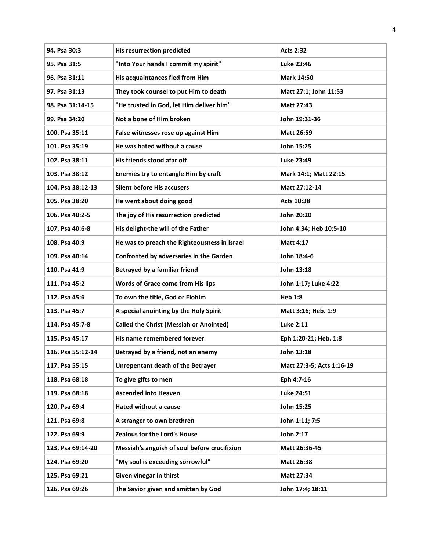| 94. Psa 30:3      | <b>His resurrection predicted</b>              | <b>Acts 2:32</b>          |
|-------------------|------------------------------------------------|---------------------------|
| 95. Psa 31:5      | "Into Your hands I commit my spirit"           | Luke 23:46                |
| 96. Psa 31:11     | His acquaintances fled from Him                | <b>Mark 14:50</b>         |
| 97. Psa 31:13     | They took counsel to put Him to death          | Matt 27:1; John 11:53     |
| 98. Psa 31:14-15  | "He trusted in God, let Him deliver him"       | <b>Matt 27:43</b>         |
| 99. Psa 34:20     | Not a bone of Him broken                       | John 19:31-36             |
| 100. Psa 35:11    | False witnesses rose up against Him            | Matt 26:59                |
| 101. Psa 35:19    | He was hated without a cause                   | John 15:25                |
| 102. Psa 38:11    | His friends stood afar off                     | Luke 23:49                |
| 103. Psa 38:12    | Enemies try to entangle Him by craft           | Mark 14:1; Matt 22:15     |
| 104. Psa 38:12-13 | <b>Silent before His accusers</b>              | Matt 27:12-14             |
| 105. Psa 38:20    | He went about doing good                       | Acts 10:38                |
| 106. Psa 40:2-5   | The joy of His resurrection predicted          | John 20:20                |
| 107. Psa 40:6-8   | His delight-the will of the Father             | John 4:34; Heb 10:5-10    |
| 108. Psa 40:9     | He was to preach the Righteousness in Israel   | <b>Matt 4:17</b>          |
| 109. Psa 40:14    | Confronted by adversaries in the Garden        | John 18:4-6               |
| 110. Psa 41:9     | <b>Betrayed by a familiar friend</b>           | John 13:18                |
| 111. Psa 45:2     | Words of Grace come from His lips              | John 1:17; Luke 4:22      |
| 112. Psa 45:6     | To own the title, God or Elohim                | <b>Heb 1:8</b>            |
| 113. Psa 45:7     | A special anointing by the Holy Spirit         | Matt 3:16; Heb. 1:9       |
| 114. Psa 45:7-8   | <b>Called the Christ (Messiah or Anointed)</b> | <b>Luke 2:11</b>          |
| 115. Psa 45:17    | His name remembered forever                    | Eph 1:20-21; Heb. 1:8     |
| 116. Psa 55:12-14 | Betrayed by a friend, not an enemy             | John 13:18                |
| 117. Psa 55:15    | <b>Unrepentant death of the Betrayer</b>       | Matt 27:3-5; Acts 1:16-19 |
| 118. Psa 68:18    | To give gifts to men                           | Eph 4:7-16                |
| 119. Psa 68:18    | <b>Ascended into Heaven</b>                    | Luke 24:51                |
| 120. Psa 69:4     | <b>Hated without a cause</b>                   | John 15:25                |
| 121. Psa 69:8     | A stranger to own brethren                     | John 1:11; 7:5            |
| 122. Psa 69:9     | Zealous for the Lord's House                   | John 2:17                 |
| 123. Psa 69:14-20 | Messiah's anguish of soul before crucifixion   | Matt 26:36-45             |
| 124. Psa 69:20    | "My soul is exceeding sorrowful"               | <b>Matt 26:38</b>         |
| 125. Psa 69:21    | Given vinegar in thirst                        | Matt 27:34                |
| 126. Psa 69:26    | The Savior given and smitten by God            | John 17:4; 18:11          |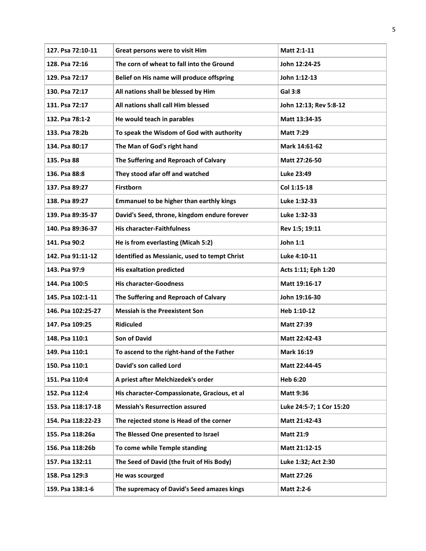| 127. Psa 72:10-11  | Great persons were to visit Him                 | Matt 2:1-11              |
|--------------------|-------------------------------------------------|--------------------------|
| 128. Psa 72:16     | The corn of wheat to fall into the Ground       | John 12:24-25            |
| 129. Psa 72:17     | Belief on His name will produce offspring       | John 1:12-13             |
| 130. Psa 72:17     | All nations shall be blessed by Him             | <b>Gal 3:8</b>           |
| 131. Psa 72:17     | All nations shall call Him blessed              | John 12:13; Rev 5:8-12   |
| 132. Psa 78:1-2    | He would teach in parables                      | Matt 13:34-35            |
| 133. Psa 78:2b     | To speak the Wisdom of God with authority       | <b>Matt 7:29</b>         |
| 134. Psa 80:17     | The Man of God's right hand                     | Mark 14:61-62            |
| 135. Psa 88        | The Suffering and Reproach of Calvary           | Matt 27:26-50            |
| 136. Psa 88:8      | They stood afar off and watched                 | Luke 23:49               |
| 137. Psa 89:27     | Firstborn                                       | Col 1:15-18              |
| 138. Psa 89:27     | <b>Emmanuel to be higher than earthly kings</b> | Luke 1:32-33             |
| 139. Psa 89:35-37  | David's Seed, throne, kingdom endure forever    | Luke 1:32-33             |
| 140. Psa 89:36-37  | <b>His character-Faithfulness</b>               | Rev 1:5; 19:11           |
| 141. Psa 90:2      | He is from everlasting (Micah 5:2)              | John 1:1                 |
| 142. Psa 91:11-12  | Identified as Messianic, used to tempt Christ   | Luke 4:10-11             |
| 143. Psa 97:9      | <b>His exaltation predicted</b>                 | Acts 1:11; Eph 1:20      |
| 144. Psa 100:5     | <b>His character-Goodness</b>                   | Matt 19:16-17            |
| 145. Psa 102:1-11  | The Suffering and Reproach of Calvary           | John 19:16-30            |
| 146. Psa 102:25-27 | <b>Messiah is the Preexistent Son</b>           | Heb 1:10-12              |
| 147. Psa 109:25    | <b>Ridiculed</b>                                | Matt 27:39               |
| 148. Psa 110:1     | <b>Son of David</b>                             | Matt 22:42-43            |
| 149. Psa 110:1     | To ascend to the right-hand of the Father       | <b>Mark 16:19</b>        |
| 150. Psa 110:1     | David's son called Lord                         | Matt 22:44-45            |
| 151. Psa 110:4     | A priest after Melchizedek's order              | <b>Heb 6:20</b>          |
| 152. Psa 112:4     | His character-Compassionate, Gracious, et al    | <b>Matt 9:36</b>         |
| 153. Psa 118:17-18 | <b>Messiah's Resurrection assured</b>           | Luke 24:5-7; 1 Cor 15:20 |
| 154. Psa 118:22-23 | The rejected stone is Head of the corner        | Matt 21:42-43            |
| 155. Psa 118:26a   | The Blessed One presented to Israel             | <b>Matt 21:9</b>         |
| 156. Psa 118:26b   | To come while Temple standing                   | Matt 21:12-15            |
| 157. Psa 132:11    | The Seed of David (the fruit of His Body)       | Luke 1:32; Act 2:30      |
| 158. Psa 129:3     | He was scourged                                 | <b>Matt 27:26</b>        |
| 159. Psa 138:1-6   | The supremacy of David's Seed amazes kings      | <b>Matt 2:2-6</b>        |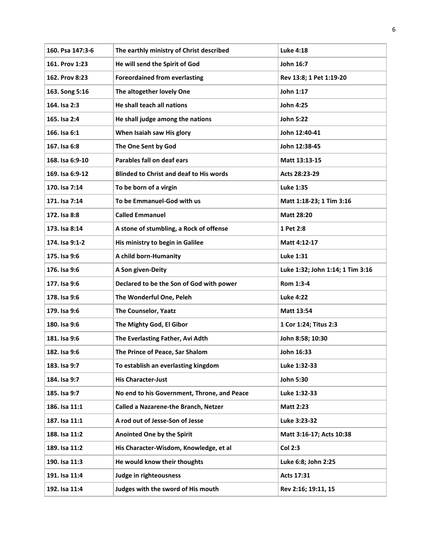| 160. Psa 147:3-6 | The earthly ministry of Christ described       | <b>Luke 4:18</b>                 |
|------------------|------------------------------------------------|----------------------------------|
| 161. Prov 1:23   | He will send the Spirit of God                 | John 16:7                        |
| 162. Prov 8:23   | <b>Foreordained from everlasting</b>           | Rev 13:8; 1 Pet 1:19-20          |
| 163. Song 5:16   | The altogether lovely One                      | John 1:17                        |
| 164. Isa 2:3     | He shall teach all nations                     | John 4:25                        |
| 165. Isa 2:4     | He shall judge among the nations               | John 5:22                        |
| 166. Isa 6:1     | When Isaiah saw His glory                      | John 12:40-41                    |
| 167. Isa 6:8     | The One Sent by God                            | John 12:38-45                    |
| 168. Isa 6:9-10  | Parables fall on deaf ears                     | Matt 13:13-15                    |
| 169. Isa 6:9-12  | <b>Blinded to Christ and deaf to His words</b> | Acts 28:23-29                    |
| 170. Isa 7:14    | To be born of a virgin                         | Luke 1:35                        |
| 171. Isa 7:14    | To be Emmanuel-God with us                     | Matt 1:18-23; 1 Tim 3:16         |
| 172. Isa 8:8     | <b>Called Emmanuel</b>                         | <b>Matt 28:20</b>                |
| 173. Isa 8:14    | A stone of stumbling, a Rock of offense        | 1 Pet 2:8                        |
| 174. Isa 9:1-2   | His ministry to begin in Galilee               | Matt 4:12-17                     |
| 175. Isa 9:6     | A child born-Humanity                          | Luke 1:31                        |
| 176. Isa 9:6     | A Son given-Deity                              | Luke 1:32; John 1:14; 1 Tim 3:16 |
| 177. Isa 9:6     | Declared to be the Son of God with power       | Rom 1:3-4                        |
| 178. Isa 9:6     | The Wonderful One, Peleh                       | <b>Luke 4:22</b>                 |
| 179. Isa 9:6     | The Counselor, Yaatz                           | Matt 13:54                       |
| 180. Isa 9:6     | The Mighty God, El Gibor                       | 1 Cor 1:24; Titus 2:3            |
| 181. Isa 9:6     | The Everlasting Father, Avi Adth               | John 8:58; 10:30                 |
| 182. Isa 9:6     | The Prince of Peace, Sar Shalom                | John 16:33                       |
| 183. Isa 9:7     | To establish an everlasting kingdom            | Luke 1:32-33                     |
| 184. Isa 9:7     | <b>His Character-Just</b>                      | John 5:30                        |
| 185. Isa 9:7     | No end to his Government, Throne, and Peace    | Luke 1:32-33                     |
| 186. Isa 11:1    | <b>Called a Nazarene-the Branch, Netzer</b>    | <b>Matt 2:23</b>                 |
| 187. Isa 11:1    | A rod out of Jesse-Son of Jesse                | Luke 3:23-32                     |
| 188. Isa 11:2    | Anointed One by the Spirit                     | Matt 3:16-17; Acts 10:38         |
| 189. Isa 11:2    | His Character-Wisdom, Knowledge, et al         | Col 2:3                          |
| 190. Isa 11:3    | He would know their thoughts                   | Luke 6:8; John 2:25              |
| 191. Isa 11:4    | Judge in righteousness                         | Acts 17:31                       |
| 192. Isa 11:4    | Judges with the sword of His mouth             | Rev 2:16; 19:11, 15              |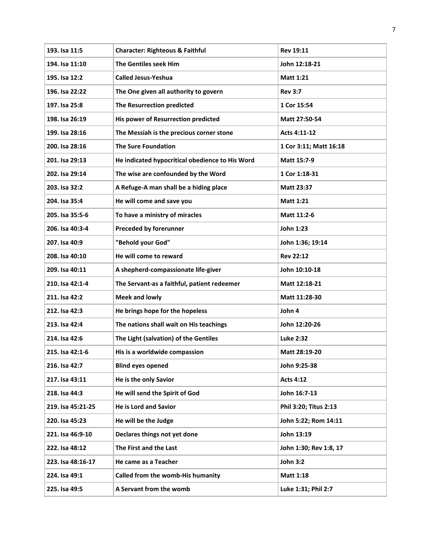| 193. Isa 11:5     | <b>Character: Righteous &amp; Faithful</b>      | <b>Rev 19:11</b>       |
|-------------------|-------------------------------------------------|------------------------|
| 194. Isa 11:10    | The Gentiles seek Him                           | John 12:18-21          |
| 195. Isa 12:2     | <b>Called Jesus-Yeshua</b>                      | <b>Matt 1:21</b>       |
| 196. Isa 22:22    | The One given all authority to govern           | <b>Rev 3:7</b>         |
| 197. Isa 25:8     | The Resurrection predicted                      | 1 Cor 15:54            |
| 198. Isa 26:19    | His power of Resurrection predicted             | Matt 27:50-54          |
| 199. Isa 28:16    | The Messiah is the precious corner stone        | Acts 4:11-12           |
| 200. Isa 28:16    | <b>The Sure Foundation</b>                      | 1 Cor 3:11; Matt 16:18 |
| 201. Isa 29:13    | He indicated hypocritical obedience to His Word | Matt 15:7-9            |
| 202. Isa 29:14    | The wise are confounded by the Word             | 1 Cor 1:18-31          |
| 203. Isa 32:2     | A Refuge-A man shall be a hiding place          | <b>Matt 23:37</b>      |
| 204. Isa 35:4     | He will come and save you                       | <b>Matt 1:21</b>       |
| 205. Isa 35:5-6   | To have a ministry of miracles                  | Matt 11:2-6            |
| 206. Isa 40:3-4   | <b>Preceded by forerunner</b>                   | John 1:23              |
| 207. Isa 40:9     | "Behold your God"                               | John 1:36; 19:14       |
| 208. Isa 40:10    | He will come to reward                          | <b>Rev 22:12</b>       |
| 209. Isa 40:11    | A shepherd-compassionate life-giver             | John 10:10-18          |
| 210. Isa 42:1-4   | The Servant-as a faithful, patient redeemer     | Matt 12:18-21          |
| 211. Isa 42:2     | <b>Meek and lowly</b>                           | Matt 11:28-30          |
| 212. Isa 42:3     | He brings hope for the hopeless                 | John 4                 |
| 213. Isa 42:4     | The nations shall wait on His teachings         | John 12:20-26          |
| 214. Isa 42:6     | The Light (salvation) of the Gentiles           | <b>Luke 2:32</b>       |
| 215. Isa 42:1-6   | His is a worldwide compassion                   | Matt 28:19-20          |
| 216. Isa 42:7     | <b>Blind eyes opened</b>                        | John 9:25-38           |
| 217. Isa 43:11    | He is the only Savior                           | <b>Acts 4:12</b>       |
| 218. Isa 44:3     | He will send the Spirit of God                  | John 16:7-13           |
| 219. Isa 45:21-25 | <b>He is Lord and Savior</b>                    | Phil 3:20; Titus 2:13  |
| 220. Isa 45:23    | He will be the Judge                            | John 5:22; Rom 14:11   |
| 221. Isa 46:9-10  | Declares things not yet done                    | John 13:19             |
| 222. Isa 48:12    | The First and the Last                          | John 1:30; Rev 1:8, 17 |
| 223. Isa 48:16-17 | He came as a Teacher                            | <b>John 3:2</b>        |
| 224. Isa 49:1     | Called from the womb-His humanity               | Matt 1:18              |
| 225. Isa 49:5     | A Servant from the womb                         | Luke 1:31; Phil 2:7    |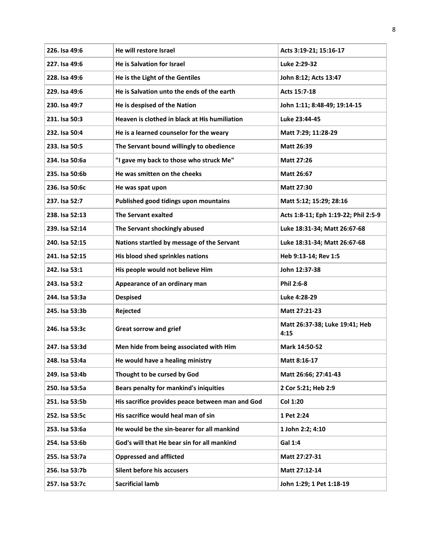| 226. Isa 49:6  | He will restore Israel                           | Acts 3:19-21; 15:16-17                 |
|----------------|--------------------------------------------------|----------------------------------------|
| 227. Isa 49:6  | <b>He is Salvation for Israel</b>                | Luke 2:29-32                           |
| 228. Isa 49:6  | He is the Light of the Gentiles                  | John 8:12; Acts 13:47                  |
| 229. Isa 49:6  | He is Salvation unto the ends of the earth       | Acts 15:7-18                           |
| 230. Isa 49:7  | He is despised of the Nation                     | John 1:11; 8:48-49; 19:14-15           |
| 231. Isa 50:3  | Heaven is clothed in black at His humiliation    | Luke 23:44-45                          |
| 232. Isa 50:4  | He is a learned counselor for the weary          | Matt 7:29; 11:28-29                    |
| 233. Isa 50:5  | The Servant bound willingly to obedience         | Matt 26:39                             |
| 234. Isa 50:6a | "I gave my back to those who struck Me"          | <b>Matt 27:26</b>                      |
| 235. Isa 50:6b | He was smitten on the cheeks                     | <b>Matt 26:67</b>                      |
| 236. Isa 50:6c | He was spat upon                                 | Matt 27:30                             |
| 237. Isa 52:7  | Published good tidings upon mountains            | Matt 5:12; 15:29; 28:16                |
| 238. Isa 52:13 | <b>The Servant exalted</b>                       | Acts 1:8-11; Eph 1:19-22; Phil 2:5-9   |
| 239. Isa 52:14 | The Servant shockingly abused                    | Luke 18:31-34; Matt 26:67-68           |
| 240. Isa 52:15 | Nations startled by message of the Servant       | Luke 18:31-34; Matt 26:67-68           |
| 241. Isa 52:15 | His blood shed sprinkles nations                 | Heb 9:13-14; Rev 1:5                   |
| 242. Isa 53:1  | His people would not believe Him                 | John 12:37-38                          |
| 243. Isa 53:2  | Appearance of an ordinary man                    | Phil 2:6-8                             |
| 244. Isa 53:3a | <b>Despised</b>                                  | Luke 4:28-29                           |
| 245. Isa 53:3b | Rejected                                         | Matt 27:21-23                          |
| 246. Isa 53:3c | <b>Great sorrow and grief</b>                    | Matt 26:37-38; Luke 19:41; Heb<br>4:15 |
| 247. Isa 53:3d | Men hide from being associated with Him          | Mark 14:50-52                          |
| 248. Isa 53:4a | He would have a healing ministry                 | Matt 8:16-17                           |
| 249. Isa 53:4b | Thought to be cursed by God                      | Matt 26:66; 27:41-43                   |
| 250. Isa 53:5a | Bears penalty for mankind's iniquities           | 2 Cor 5:21; Heb 2:9                    |
| 251. Isa 53:5b | His sacrifice provides peace between man and God | <b>Col 1:20</b>                        |
| 252. Isa 53:5c | His sacrifice would heal man of sin              | 1 Pet 2:24                             |
| 253. Isa 53:6a | He would be the sin-bearer for all mankind       | 1 John 2:2; 4:10                       |
| 254. Isa 53:6b | God's will that He bear sin for all mankind      | Gal 1:4                                |
| 255. Isa 53:7a | <b>Oppressed and afflicted</b>                   | Matt 27:27-31                          |
| 256. Isa 53:7b | Silent before his accusers                       | Matt 27:12-14                          |
| 257. Isa 53:7c | <b>Sacrificial lamb</b>                          | John 1:29; 1 Pet 1:18-19               |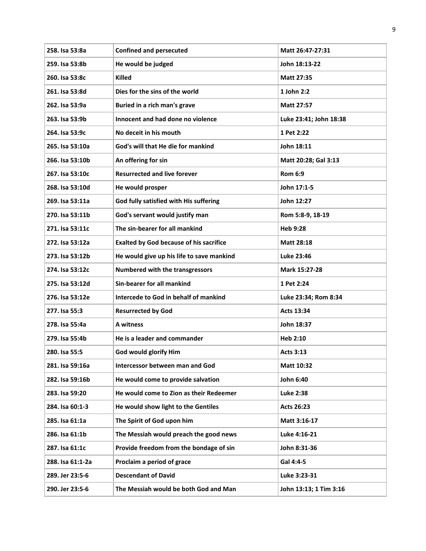| 258. Isa 53:8a   | <b>Confined and persecuted</b>                 | Matt 26:47-27:31       |
|------------------|------------------------------------------------|------------------------|
| 259. Isa 53:8b   | He would be judged                             | John 18:13-22          |
| 260. Isa 53:8c   | <b>Killed</b>                                  | <b>Matt 27:35</b>      |
| 261. Isa 53:8d   | Dies for the sins of the world                 | 1 John 2:2             |
| 262. Isa 53:9a   | Buried in a rich man's grave                   | <b>Matt 27:57</b>      |
| 263. Isa 53:9b   | Innocent and had done no violence              | Luke 23:41; John 18:38 |
| 264. Isa 53:9c   | No deceit in his mouth                         | 1 Pet 2:22             |
| 265. Isa 53:10a  | God's will that He die for mankind             | John 18:11             |
| 266. Isa 53:10b  | An offering for sin                            | Matt 20:28; Gal 3:13   |
| 267. Isa 53:10c  | <b>Resurrected and live forever</b>            | <b>Rom 6:9</b>         |
| 268. Isa 53:10d  | He would prosper                               | John 17:1-5            |
| 269. Isa 53:11a  | God fully satisfied with His suffering         | John 12:27             |
| 270. Isa 53:11b  | God's servant would justify man                | Rom 5:8-9, 18-19       |
| 271. Isa 53:11c  | The sin-bearer for all mankind                 | Heb 9:28               |
| 272. Isa 53:12a  | <b>Exalted by God because of his sacrifice</b> | <b>Matt 28:18</b>      |
| 273. Isa 53:12b  | He would give up his life to save mankind      | Luke 23:46             |
| 274. Isa 53:12c  | Numbered with the transgressors                | Mark 15:27-28          |
| 275. Isa 53:12d  | Sin-bearer for all mankind                     | 1 Pet 2:24             |
| 276. Isa 53:12e  | Intercede to God in behalf of mankind          | Luke 23:34; Rom 8:34   |
| 277. Isa 55:3    | <b>Resurrected by God</b>                      | Acts 13:34             |
| 278. Isa 55:4a   | A witness                                      | John 18:37             |
| 279. Isa 55:4b   | He is a leader and commander                   | Heb 2:10               |
| 280. Isa 55:5    | God would glorify Him                          | <b>Acts 3:13</b>       |
| 281. Isa 59:16a  | Intercessor between man and God                | Matt 10:32             |
| 282. Isa 59:16b  | He would come to provide salvation             | John 6:40              |
| 283. Isa 59:20   | He would come to Zion as their Redeemer        | Luke 2:38              |
| 284. Isa 60:1-3  | He would show light to the Gentiles            | Acts 26:23             |
| 285. Isa 61:1a   | The Spirit of God upon him                     | Matt 3:16-17           |
| 286. Isa 61:1b   | The Messiah would preach the good news         | Luke 4:16-21           |
| 287. Isa 61:1c   | Provide freedom from the bondage of sin        | John 8:31-36           |
| 288. Isa 61:1-2a | Proclaim a period of grace                     | Gal 4:4-5              |
| 289. Jer 23:5-6  | <b>Descendant of David</b>                     | Luke 3:23-31           |
| 290. Jer 23:5-6  | The Messiah would be both God and Man          | John 13:13; 1 Tim 3:16 |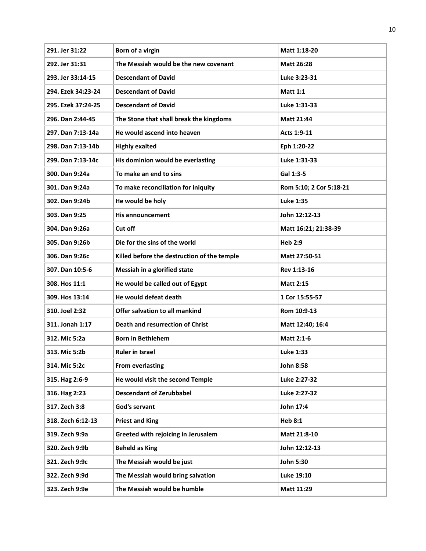| 291. Jer 31:22     | Born of a virgin                            | Matt 1:18-20            |
|--------------------|---------------------------------------------|-------------------------|
| 292. Jer 31:31     | The Messiah would be the new covenant       | <b>Matt 26:28</b>       |
| 293. Jer 33:14-15  | <b>Descendant of David</b>                  | Luke 3:23-31            |
| 294. Ezek 34:23-24 | <b>Descendant of David</b>                  | <b>Matt 1:1</b>         |
| 295. Ezek 37:24-25 | <b>Descendant of David</b>                  | Luke 1:31-33            |
| 296. Dan 2:44-45   | The Stone that shall break the kingdoms     | Matt 21:44              |
| 297. Dan 7:13-14a  | He would ascend into heaven                 | Acts 1:9-11             |
| 298. Dan 7:13-14b  | <b>Highly exalted</b>                       | Eph 1:20-22             |
| 299. Dan 7:13-14c  | His dominion would be everlasting           | Luke 1:31-33            |
| 300. Dan 9:24a     | To make an end to sins                      | Gal 1:3-5               |
| 301. Dan 9:24a     | To make reconciliation for iniquity         | Rom 5:10; 2 Cor 5:18-21 |
| 302. Dan 9:24b     | He would be holy                            | <b>Luke 1:35</b>        |
| 303. Dan 9:25      | <b>His announcement</b>                     | John 12:12-13           |
| 304. Dan 9:26a     | Cut off                                     | Matt 16:21; 21:38-39    |
| 305. Dan 9:26b     | Die for the sins of the world               | <b>Heb 2:9</b>          |
| 306. Dan 9:26c     | Killed before the destruction of the temple | Matt 27:50-51           |
| 307. Dan 10:5-6    | Messiah in a glorified state                | Rev 1:13-16             |
| 308. Hos 11:1      | He would be called out of Egypt             | <b>Matt 2:15</b>        |
| 309. Hos 13:14     | He would defeat death                       | 1 Cor 15:55-57          |
| 310. Joel 2:32     | Offer salvation to all mankind              | Rom 10:9-13             |
| 311. Jonah 1:17    | <b>Death and resurrection of Christ</b>     | Matt 12:40; 16:4        |
| 312. Mic 5:2a      | <b>Born in Bethlehem</b>                    | Matt 2:1-6              |
| 313. Mic 5:2b      | Ruler in Israel                             | Luke 1:33               |
| 314. Mic 5:2c      | <b>From everlasting</b>                     | <b>John 8:58</b>        |
| 315. Hag 2:6-9     | He would visit the second Temple            | Luke 2:27-32            |
| 316. Hag 2:23      | <b>Descendant of Zerubbabel</b>             | Luke 2:27-32            |
| 317. Zech 3:8      | God's servant                               | John 17:4               |
| 318. Zech 6:12-13  | <b>Priest and King</b>                      | <b>Heb 8:1</b>          |
| 319. Zech 9:9a     | Greeted with rejoicing in Jerusalem         | Matt 21:8-10            |
| 320. Zech 9:9b     | <b>Beheld as King</b>                       | John 12:12-13           |
| 321. Zech 9:9c     | The Messiah would be just                   | John 5:30               |
| 322. Zech 9:9d     | The Messiah would bring salvation           | Luke 19:10              |
| 323. Zech 9:9e     | The Messiah would be humble                 | Matt 11:29              |